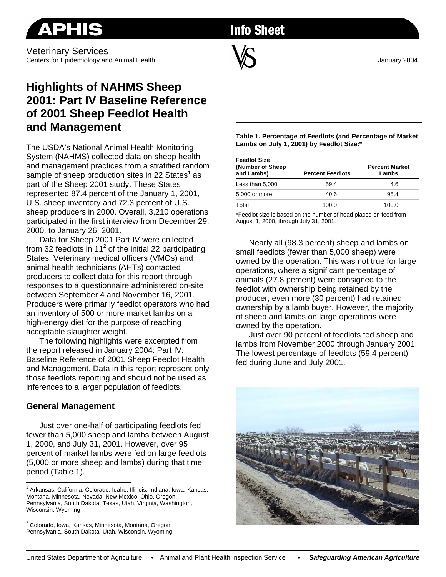

**Info Sheet** 

# **Highlights of NAHMS Sheep 2001: Part IV Baseline Reference of 2001 Sheep Feedlot Health and Management**

The USDA's National Animal Health Monitoring System (NAHMS) collected data on sheep health and management practices from a stratified random sample of sheep production sites in 22 States<sup>1</sup> as part of the Sheep 2001 study. These States represented 87.4 percent of the January 1, 2001, U.S. sheep inventory and 72.3 percent of U.S. sheep producers in 2000. Overall, 3,210 operations participated in the first interview from December 29, 2000, to January 26, 2001.

Data for Sheep 2001 Part IV were collected from 32 feedlots in 11<sup>2</sup> of the initial 22 participating States. Veterinary medical officers (VMOs) and animal health technicians (AHTs) contacted producers to collect data for this report through responses to a questionnaire administered on-site between September 4 and November 16, 2001. Producers were primarily feedlot operators who had an inventory of 500 or more market lambs on a high-energy diet for the purpose of reaching acceptable slaughter weight.

The following highlights were excerpted from the report released in January 2004: Part IV: Baseline Reference of 2001 Sheep Feedlot Health and Management. Data in this report represent only those feedlots reporting and should not be used as inferences to a larger population of feedlots.

#### **General Management**

 $\overline{a}$ 

Just over one-half of participating feedlots fed fewer than 5,000 sheep and lambs between August 1, 2000, and July 31, 2001. However, over 95 percent of market lambs were fed on large feedlots (5,000 or more sheep and lambs) during that time period (Table 1).

**Table 1. Percentage of Feedlots (and Percentage of Market Lambs on July 1, 2001) by Feedlot Size:\*** 

| <b>Feedlot Size</b><br>(Number of Sheep)<br>and Lambs) | <b>Percent Feedlots</b> | <b>Percent Market</b><br>Lambs |  |
|--------------------------------------------------------|-------------------------|--------------------------------|--|
| Less than 5,000                                        | 59.4                    | 4.6                            |  |
| 5,000 or more                                          | 40.6                    | 95.4                           |  |
| Total                                                  | 100.0                   | 100.0                          |  |

\*Feedlot size is based on the number of head placed on feed from August 1, 2000, through July 31, 2001.

Nearly all (98.3 percent) sheep and lambs on small feedlots (fewer than 5,000 sheep) were owned by the operation. This was not true for large operations, where a significant percentage of animals (27.8 percent) were consigned to the feedlot with ownership being retained by the producer; even more (30 percent) had retained ownership by a lamb buyer. However, the majority of sheep and lambs on large operations were owned by the operation.

Just over 90 percent of feedlots fed sheep and lambs from November 2000 through January 2001. The lowest percentage of feedlots (59.4 percent) fed during June and July 2001.



<sup>&</sup>lt;sup>1</sup> Arkansas, California, Colorado, Idaho, Illinois, Indiana, Iowa, Kansas, Montana, Minnesota, Nevada, New Mexico, Ohio, Oregon, Pennsylvania, South Dakota, Texas, Utah, Virginia, Washington, Wisconsin, Wyoming

<sup>&</sup>lt;sup>2</sup> Colorado, Iowa, Kansas, Minnesota, Montana, Oregon, Pennsylvania, South Dakota, Utah, Wisconsin, Wyoming